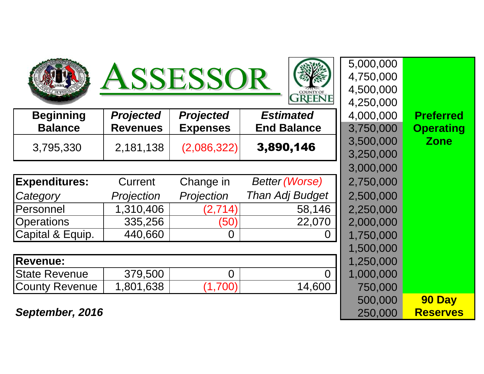





5,000,000

4,750,000

4,500,000

500,000

|                       |                  |                  | <b>OLLEVE</b>         | 4,250,000 |                  |
|-----------------------|------------------|------------------|-----------------------|-----------|------------------|
| <b>Beginning</b>      | <b>Projected</b> | <b>Projected</b> | <b>Estimated</b>      | 4,000,000 | <b>Preferred</b> |
| <b>Balance</b>        | <b>Revenues</b>  | <b>Expenses</b>  | <b>End Balance</b>    | 3,750,000 | <b>Operating</b> |
| 3,795,330             | 2,181,138        | (2,086,322)      | 3,890,146             | 3,500,000 | <b>Zone</b>      |
|                       |                  |                  |                       | 3,250,000 |                  |
|                       |                  |                  |                       | 3,000,000 |                  |
| <b>Expenditures:</b>  | Current          | Change in        | <b>Better (Worse)</b> | 2,750,000 |                  |
| Category              | Projection       | Projection       | Than Adj Budget       | 2,500,000 |                  |
| Personnel             | 1,310,406        | (2,714)          | 58,146                | 2,250,000 |                  |
| <b>Operations</b>     | 335,256          | (50)             | 22,070                | 2,000,000 |                  |
| Capital & Equip.      | 440,660          | 0                | $\Omega$              | 1,750,000 |                  |
|                       |                  |                  |                       | 1,500,000 |                  |
| <b>Revenue:</b>       |                  |                  |                       | 1,250,000 |                  |
| <b>State Revenue</b>  | 379,500          | $\overline{0}$   | $\Omega$              | 1,000,000 |                  |
| <b>County Revenue</b> | 1,801,638        | (1,700)          | 14,600                | 750,000   |                  |
|                       |                  |                  |                       |           |                  |

 **OperatingZone**

**September, 2016** $\overline{6}$  250,000

 **90 Day Reserves**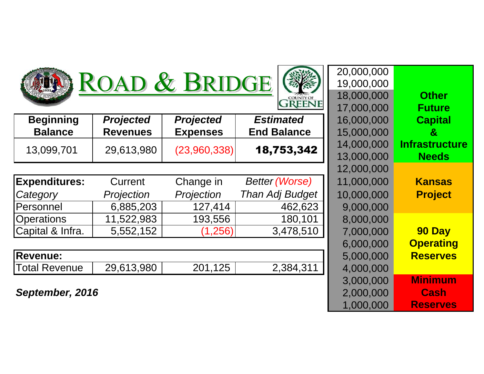

## ROAD & BRIDGE



| <b>Beginning</b>     | <b>Projected</b>  | <b>Projected</b> | <b>Estimated</b>      | 16,000,000 | <b>Capital</b>     |
|----------------------|-------------------|------------------|-----------------------|------------|--------------------|
| <b>Balance</b>       | <b>Revenues</b>   | <b>Expenses</b>  | <b>End Balance</b>    | 15,000,000 | $\mathbf{g}$       |
| 13,099,701           | 29,613,980        | (23,960,338)     | 18,753,342            | 14,000,000 | <b>Infrastruct</b> |
|                      |                   |                  |                       | 13,000,000 | <b>Needs</b>       |
|                      |                   |                  |                       | 12,000,000 |                    |
| <b>Expenditures:</b> | Current           | Change in        | <b>Better (Worse)</b> | 11,000,000 | <b>Kansas</b>      |
| Category             | <b>Projection</b> | Projection       | Than Adj Budget       | 10,000,000 | <b>Project</b>     |
| Personnel            | 6,885,203         | 127,414          | 462,623               | 9,000,000  |                    |
| <b>Operations</b>    | 11,522,983        | 193,556          | 180,101               | 8,000,000  |                    |
| Capital & Infra.     | 5,552,152         | (1,256)          | 3,478,510             | 7,000,000  | 90 Day             |
|                      |                   |                  |                       | 6,000,000  | <b>Operatin</b>    |
| <b>Revenue:</b>      |                   |                  |                       | 5,000,000  | <b>Reserve</b>     |
| <b>Total Revenue</b> | 29,613,980        | 201,125          | 2,384,311             | 4,000,000  |                    |

| <b>AD</b>        | <b>&amp; BRIDGE</b> |                       | 19,000,000 |                       |
|------------------|---------------------|-----------------------|------------|-----------------------|
|                  |                     |                       | 18,000,000 | <b>Other</b>          |
|                  |                     | <b>TREENE</b>         | 17,000,000 | <b>Future</b>         |
| <b>Projected</b> | <b>Projected</b>    | <b>Estimated</b>      | 16,000,000 | <b>Capital</b>        |
| <b>Revenues</b>  | <b>Expenses</b>     | <b>End Balance</b>    | 15,000,000 | &                     |
|                  |                     | 18,753,342            | 14,000,000 | <b>Infrastructure</b> |
| 29,613,980       | (23,960,338)        |                       | 13,000,000 | <b>Needs</b>          |
|                  |                     |                       | 12,000,000 |                       |
| Current          | Change in           | <b>Better (Worse)</b> | 11,000,000 | <b>Kansas</b>         |
| Projection       | Projection          | Than Adj Budget       | 10,000,000 | <b>Project</b>        |
| 6,885,203        | 127,414             | 462,623               | 9,000,000  |                       |
| 11,522,983       | 193,556             | 180,101               | 8,000,000  |                       |
| 5,552,152        | (1,256)             | 3,478,510             | 7,000,000  | 90 Day                |
|                  |                     |                       | 6,000,000  | <b>Operating</b>      |
|                  |                     |                       | 5,000,000  | <b>Reserves</b>       |
| 29,613,980       | 201,125             | 2,384,311             | 4,000,000  |                       |
|                  |                     |                       | 3,000,000  | <b>Minimum</b>        |
| 6                |                     |                       | 2,000,000  | <b>Cash</b>           |
|                  |                     |                       | 1,000,000  | <b>Reserves</b>       |

20,000,000

**September, 2016**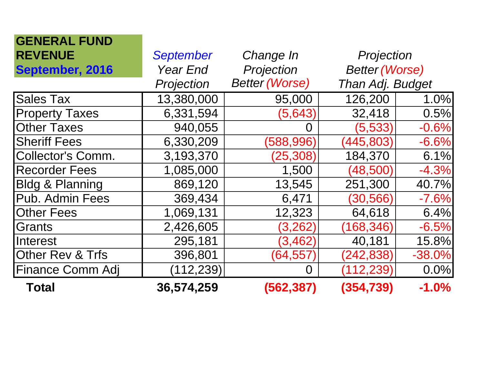| <b>GENERAL FUND</b>        |                  |                       |                       |          |
|----------------------------|------------------|-----------------------|-----------------------|----------|
| <b>REVENUE</b>             | <b>September</b> | Change In             | Projection            |          |
| September, 2016            | <b>Year End</b>  | Projection            | <b>Better (Worse)</b> |          |
|                            | Projection       | <b>Better (Worse)</b> | Than Adj. Budget      |          |
| <b>Sales Tax</b>           | 13,380,000       | 95,000                | 126,200               | 1.0%     |
| <b>Property Taxes</b>      | 6,331,594        | (5,643)               | 32,418                | 0.5%     |
| <b>Other Taxes</b>         | 940,055          | $\Omega$              | (5,533)               | $-0.6%$  |
| <b>Sheriff Fees</b>        | 6,330,209        | (588, 996)            | (445, 803)            | $-6.6%$  |
| <b>Collector's Comm.</b>   | 3,193,370        | (25, 308)             | 184,370               | 6.1%     |
| <b>Recorder Fees</b>       | 1,085,000        | 1,500                 | (48,500)              | $-4.3%$  |
| <b>Bldg &amp; Planning</b> | 869,120          | 13,545                | 251,300               | 40.7%    |
| Pub. Admin Fees            | 369,434          | 6,471                 | (30, 566)             | $-7.6%$  |
| <b>Other Fees</b>          | 1,069,131        | 12,323                | 64,618                | 6.4%     |
| Grants                     | 2,426,605        | (3,262)               | (168, 346)            | $-6.5%$  |
| Interest                   | 295,181          | (3, 462)              | 40,181                | 15.8%    |
| Other Rev & Trfs           | 396,801          | (64,557               | (242,838)             | $-38.0%$ |
| <b>Finance Comm Adj</b>    | (112, 239)       | O                     | (112, 239)            | 0.0%     |
| <b>Total</b>               | 36,574,259       | (562, 387)            | (354, 739)            | $-1.0%$  |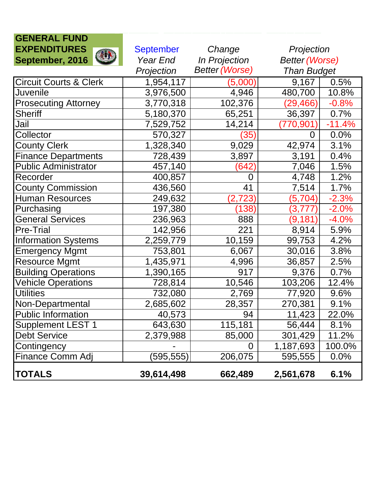| <b>GENERAL FUND</b>               |                  |                       |                       |          |
|-----------------------------------|------------------|-----------------------|-----------------------|----------|
| <b>EXPENDITURES</b>               | <b>September</b> | Change                | Projection            |          |
| <b>AUR</b><br>September, 2016     | Year End         | In Projection         | <b>Better (Worse)</b> |          |
|                                   | Projection       | <b>Better (Worse)</b> | <b>Than Budget</b>    |          |
| <b>Circuit Courts &amp; Clerk</b> | 1,954,117        | (5,000)               | 9,167                 | 0.5%     |
| <b>Juvenile</b>                   | 3,976,500        | 4,946                 | 480,700               | 10.8%    |
| <b>Prosecuting Attorney</b>       | 3,770,318        | 102,376               | (29, 466)             | $-0.8%$  |
| <b>Sheriff</b>                    | 5,180,370        | 65,251                | 36,397                | 0.7%     |
| Jail                              | 7,529,752        | 14,214                | 770,901               | $-11.4%$ |
| Collector                         | 570,327          | (35)                  | 0                     | $0.0\%$  |
| <b>County Clerk</b>               | 1,328,340        | 9,029                 | 42,974                | 3.1%     |
| Finance Departments               | 728,439          | 3,897                 | 3,191                 | 0.4%     |
| <b>Public Administrator</b>       | 457,140          | (642)                 | 7,046                 | 1.5%     |
| Recorder                          | 400,857          | $\overline{0}$        | 4,748                 | 1.2%     |
| <b>County Commission</b>          | 436,560          | 41                    | 7,514                 | 1.7%     |
| <b>Human Resources</b>            | 249,632          | (2,723)               | (5,704)               | $-2.3%$  |
| Purchasing                        | 197,380          | (138)                 | (3,777)               | $-2.0%$  |
| <b>General Services</b>           | 236,963          | 888                   | (9,181)               | $-4.0%$  |
| <b>Pre-Trial</b>                  | 142,956          | 221                   | 8,914                 | 5.9%     |
| <b>Information Systems</b>        | 2,259,779        | 10,159                | 99,753                | 4.2%     |
| Emergency Mgmt                    | 753,801          | 6,067                 | 30,016                | 3.8%     |
| <b>Resource Mgmt</b>              | 1,435,971        | 4,996                 | 36,857                | 2.5%     |
| <b>Building Operations</b>        | 1,390,165        | 917                   | 9,376                 | 0.7%     |
| <b>Vehicle Operations</b>         | 728,814          | 10,546                | 103,206               | 12.4%    |
| <b>Utilities</b>                  | 732,080          | 2,769                 | 77,920                | 9.6%     |
| Non-Departmental                  | 2,685,602        | 28,357                | 270,381               | 9.1%     |
| <b>Public Information</b>         | 40,573           | 94                    | 11,423                | 22.0%    |
| <b>Supplement LEST 1</b>          | 643,630          | 115,181               | 56,444                | 8.1%     |
| <b>Debt Service</b>               | 2,379,988        | 85,000                | 301,429               | 11.2%    |
| Contingency                       |                  |                       | 1,187,693             | 100.0%   |
| <b>Finance Comm Adj</b>           | (595, 555)       | 206,075               | 595,555               | 0.0%     |
| <b>TOTALS</b>                     | 39,614,498       | 662,489               | 2,561,678             | 6.1%     |